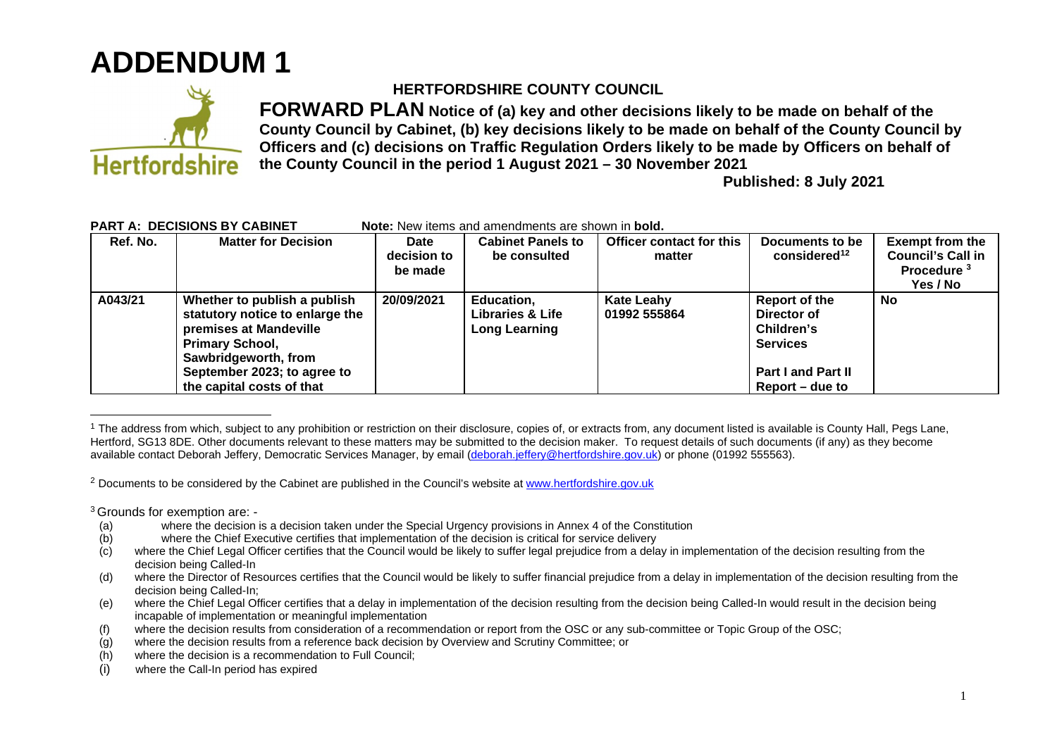## **ADDENDUM 1**



## **HERTFORDSHIRE COUNTY COUNCIL**

**FORWARD PLAN Notice of (a) key and other decisions likely to be made on behalf of the County Council by Cabinet, (b) key decisions likely to be made on behalf of the County Council by Officers and (c) decisions on Traffic Regulation Orders likely to be made by Officers on behalf of the County Council in the period 1 August 2021 – 30 November 2021** 

**Published: 8 July 2021**

| Ref. No. | <b>Matter for Decision</b>      | Date        | <b>Cabinet Panels to</b> | Officer contact for this | Documents to be           | <b>Exempt from the</b>   |
|----------|---------------------------------|-------------|--------------------------|--------------------------|---------------------------|--------------------------|
|          |                                 | decision to | be consulted             | matter                   | considered <sup>12</sup>  | <b>Council's Call in</b> |
|          |                                 | be made     |                          |                          |                           | Procedure <sup>3</sup>   |
|          |                                 |             |                          |                          |                           | Yes / No                 |
| A043/21  | Whether to publish a publish    | 20/09/2021  | <b>Education,</b>        | <b>Kate Leahy</b>        | Report of the             | <b>No</b>                |
|          | statutory notice to enlarge the |             | Libraries & Life         | 01992 555864             | Director of               |                          |
|          | premises at Mandeville          |             | <b>Long Learning</b>     |                          | Children's                |                          |
|          | <b>Primary School,</b>          |             |                          |                          | <b>Services</b>           |                          |
|          | Sawbridgeworth, from            |             |                          |                          |                           |                          |
|          | September 2023; to agree to     |             |                          |                          | <b>Part I and Part II</b> |                          |
|          | the capital costs of that       |             |                          |                          | Report – due to           |                          |

## **PART A: DECISIONS BY CABINET Note:** New items and amendments are shown in **bold.**

<sup>2</sup> Documents to be considered by the Cabinet are published in the Council's website at www.hertfordshire.gov.uk

<sup>3</sup>Grounds for exemption are: -

- (a) where the decision is a decision taken under the Special Urgency provisions in Annex 4 of the Constitution
- (b) where the Chief Executive certifies that implementation of the decision is critical for service delivery
- (c) where the Chief Legal Officer certifies that the Council would be likely to suffer legal prejudice from a delay in implementation of the decision resulting from the decision being Called-In
- (d) where the Director of Resources certifies that the Council would be likely to suffer financial prejudice from a delay in implementation of the decision resulting from the decision being Called-In;
- (e) where the Chief Legal Officer certifies that a delay in implementation of the decision resulting from the decision being Called-In would result in the decision being incapable of implementation or meaningful implementation
- (f) where the decision results from consideration of a recommendation or report from the OSC or any sub-committee or Topic Group of the OSC;
- (g) where the decision results from a reference back decision by Overview and Scrutiny Committee; or
- (h) where the decision is a recommendation to Full Council;
- (i) where the Call-In period has expired

<sup>&</sup>lt;sup>1</sup> The address from which, subject to any prohibition or restriction on their disclosure, copies of, or extracts from, any document listed is available is County Hall, Pegs Lane, Hertford, SG13 8DE. Other documents relevant to these matters may be submitted to the decision maker. To request details of such documents (if any) as they become available contact Deborah Jeffery, Democratic Services Manager, by email (deborah.jeffery@hertfordshire.gov.uk) or phone (01992 555563).